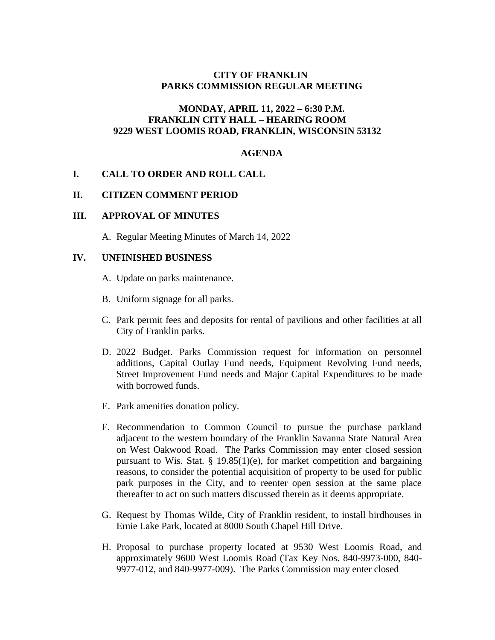# **CITY OF FRANKLIN PARKS COMMISSION REGULAR MEETING**

## **MONDAY, APRIL 11, 2022 – 6:30 P.M. FRANKLIN CITY HALL – HEARING ROOM 9229 WEST LOOMIS ROAD, FRANKLIN, WISCONSIN 53132**

#### **AGENDA**

## **I. CALL TO ORDER AND ROLL CALL**

#### **II. CITIZEN COMMENT PERIOD**

#### **III. APPROVAL OF MINUTES**

A. Regular Meeting Minutes of March 14, 2022

#### **IV. UNFINISHED BUSINESS**

- A. Update on parks maintenance.
- B. Uniform signage for all parks.
- C. Park permit fees and deposits for rental of pavilions and other facilities at all City of Franklin parks.
- D. 2022 Budget. Parks Commission request for information on personnel additions, Capital Outlay Fund needs, Equipment Revolving Fund needs, Street Improvement Fund needs and Major Capital Expenditures to be made with borrowed funds.
- E. Park amenities donation policy.
- F. Recommendation to Common Council to pursue the purchase parkland adjacent to the western boundary of the Franklin Savanna State Natural Area on West Oakwood Road. The Parks Commission may enter closed session pursuant to Wis. Stat.  $\S$  19.85(1)(e), for market competition and bargaining reasons, to consider the potential acquisition of property to be used for public park purposes in the City, and to reenter open session at the same place thereafter to act on such matters discussed therein as it deems appropriate.
- G. Request by Thomas Wilde, City of Franklin resident, to install birdhouses in Ernie Lake Park, located at 8000 South Chapel Hill Drive.
- H. Proposal to purchase property located at 9530 West Loomis Road, and approximately 9600 West Loomis Road (Tax Key Nos. 840-9973-000, 840- 9977-012, and 840-9977-009). The Parks Commission may enter closed